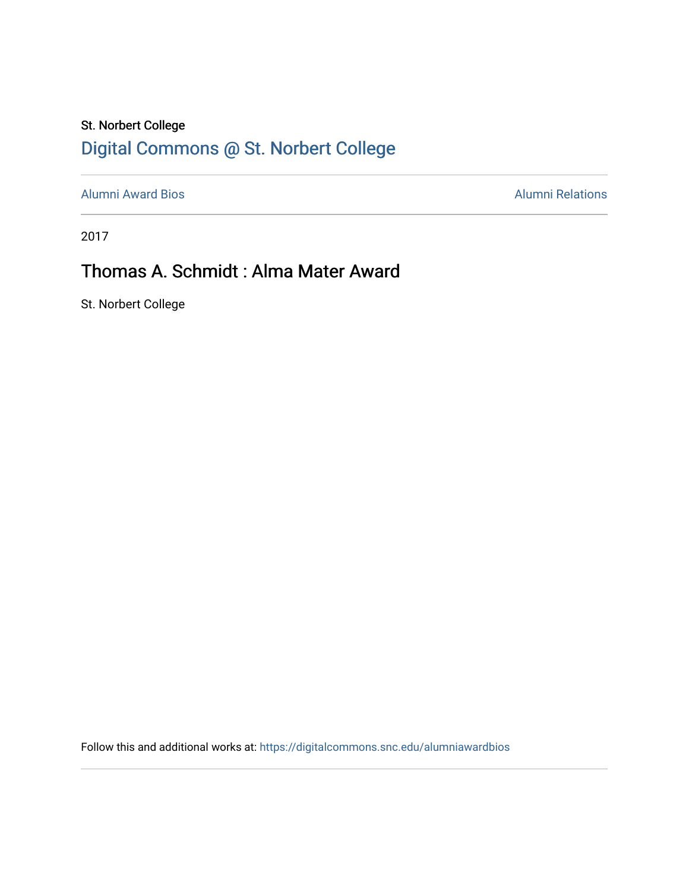### St. Norbert College [Digital Commons @ St. Norbert College](https://digitalcommons.snc.edu/)

[Alumni Award Bios](https://digitalcommons.snc.edu/alumniawardbios) **Alumni Relations** Alumni Relations

2017

## Thomas A. Schmidt : Alma Mater Award

St. Norbert College

Follow this and additional works at: [https://digitalcommons.snc.edu/alumniawardbios](https://digitalcommons.snc.edu/alumniawardbios?utm_source=digitalcommons.snc.edu%2Falumniawardbios%2F73&utm_medium=PDF&utm_campaign=PDFCoverPages)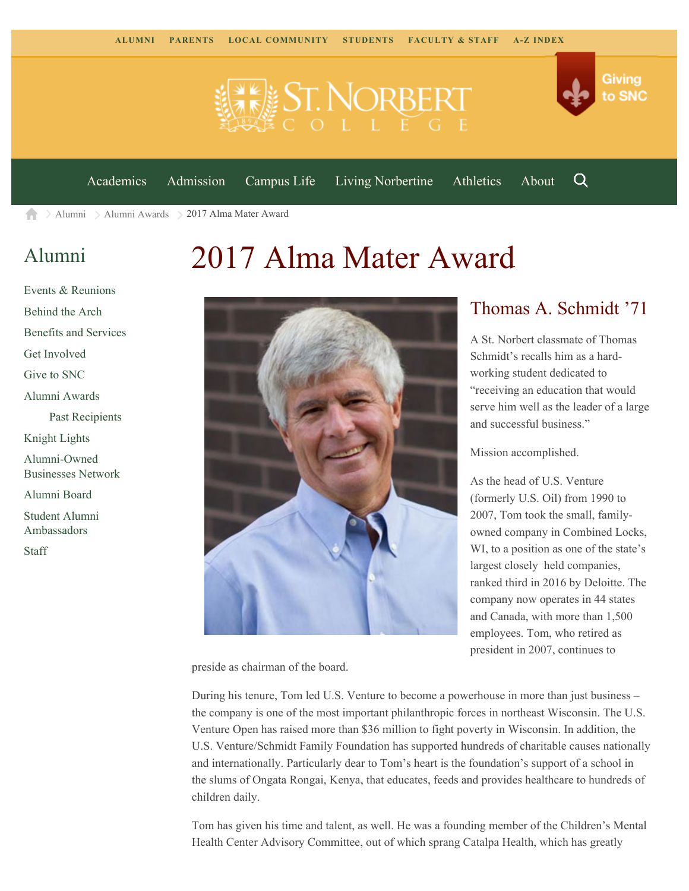

[Academics](https://www.snc.edu/academics) [Admission](https://www.snc.edu/admission) [Campus Life](https://www.snc.edu/campuslife) [Living Norbertine](https://www.snc.edu/livingnorbertine) [Athletics](https://www.snc.edu/athletics) [About](https://www.snc.edu/about)

Q

Giving

to SNC

[Alumni](https://www.snc.edu/alumni/) [Alumni Awards](https://www.snc.edu/alumni/awards/) 2017 Alma Mater Award A

### [Alumni](https://www.snc.edu/alumni/index.html)

# [Events & Reunions](https://www.snc.edu/alumni/event/index.html) [Behind the Arch](https://www.snc.edu/alumni/event/behindthearch/) [Benefits and Services](https://www.snc.edu/alumni/benefits.html) [Get Involved](https://www.snc.edu/alumni/getinvolved.html) [Give to SNC](http://giving.snc.edu/) [Alumni Awards](https://www.snc.edu/alumni/awards/index.html) [Past Recipients](https://www.snc.edu/alumni/awards/recipients.html) [Knight Lights](https://www.snc.edu/alumni/knightlights/index.html) [Alumni-Owned](https://www.snc.edu/alumni/directory/index.html) [Businesses Network](https://www.snc.edu/alumni/directory/index.html) [Alumni Board](https://www.snc.edu/alumni/alumniboard.html) [Student Alumni](https://www.snc.edu/alumni/saa.html) [Ambassadors](https://www.snc.edu/alumni/saa.html) [Staff](https://www.snc.edu/alumni/contactus.html)





#### Thomas A. Schmidt '71

A St. Norbert classmate of Thomas Schmidt's recalls him as a hardworking student dedicated to "receiving an education that would serve him well as the leader of a large and successful business."

Mission accomplished.

As the head of U.S. Venture (formerly U.S. Oil) from 1990 to 2007, Tom took the small, familyowned company in Combined Locks, WI, to a position as one of the state's largest closely held companies, ranked third in 2016 by Deloitte. The company now operates in 44 states and Canada, with more than 1,500 employees. Tom, who retired as president in 2007, continues to

preside as chairman of the board.

During his tenure, Tom led U.S. Venture to become a powerhouse in more than just business – the company is one of the most important philanthropic forces in northeast Wisconsin. The U.S. Venture Open has raised more than \$36 million to fight poverty in Wisconsin. In addition, the U.S. Venture/Schmidt Family Foundation has supported hundreds of charitable causes nationally and internationally. Particularly dear to Tom's heart is the foundation's support of a school in the slums of Ongata Rongai, Kenya, that educates, feeds and provides healthcare to hundreds of children daily.

Tom has given his time and talent, as well. He was a founding member of the Children's Mental Health Center Advisory Committee, out of which sprang Catalpa Health, which has greatly